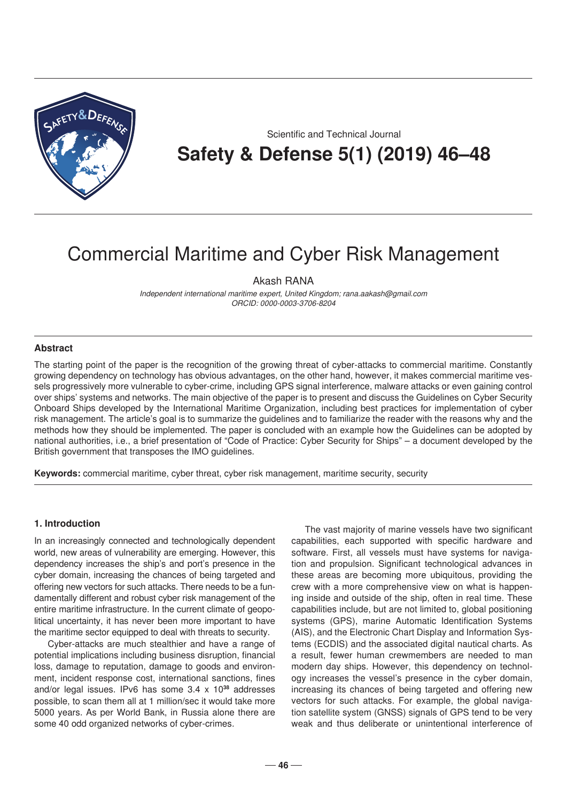

Scientific and Technical Journal **Safety & Defense 5(1) (2019) 46–48**

# Commercial Maritime and Cyber Risk Management

Akash RANA

*Independent international maritime expert, United Kingdom; rana.aakash@gmail.com ORCID: 0000-0003-3706-8204* 

#### **Abstract**

The starting point of the paper is the recognition of the growing threat of cyber-attacks to commercial maritime. Constantly growing dependency on technology has obvious advantages, on the other hand, however, it makes commercial maritime vessels progressively more vulnerable to cyber-crime, including GPS signal interference, malware attacks or even gaining control over ships' systems and networks. The main objective of the paper is to present and discuss the Guidelines on Cyber Security Onboard Ships developed by the International Maritime Organization, including best practices for implementation of cyber risk management. The article's goal is to summarize the guidelines and to familiarize the reader with the reasons why and the methods how they should be implemented. The paper is concluded with an example how the Guidelines can be adopted by national authorities, i.e., a brief presentation of "Code of Practice: Cyber Security for Ships" – a document developed by the British government that transposes the IMO guidelines.

**Keywords:** commercial maritime, cyber threat, cyber risk management, maritime security, security

#### **1. Introduction**

In an increasingly connected and technologically dependent world, new areas of vulnerability are emerging. However, this dependency increases the ship's and port's presence in the cyber domain, increasing the chances of being targeted and offering new vectors for such attacks. There needs to be a fundamentally different and robust cyber risk management of the entire maritime infrastructure. In the current climate of geopolitical uncertainty, it has never been more important to have the maritime sector equipped to deal with threats to security.

Cyber-attacks are much stealthier and have a range of potential implications including business disruption, financial loss, damage to reputation, damage to goods and environment, incident response cost, international sanctions, fines and/or legal issues. IPv6 has some 3.4 x 10**<sup>38</sup>** addresses possible, to scan them all at 1 million/sec it would take more 5000 years. As per World Bank, in Russia alone there are some 40 odd organized networks of cyber-crimes*.*

The vast majority of marine vessels have two significant capabilities, each supported with specific hardware and software. First, all vessels must have systems for navigation and propulsion. Significant technological advances in these areas are becoming more ubiquitous, providing the crew with a more comprehensive view on what is happening inside and outside of the ship, often in real time. These capabilities include, but are not limited to, global positioning systems (GPS), marine Automatic Identification Systems (AIS), and the Electronic Chart Display and Information Systems (ECDIS) and the associated digital nautical charts. As a result, fewer human crewmembers are needed to man modern day ships. However, this dependency on technology increases the vessel's presence in the cyber domain, increasing its chances of being targeted and offering new vectors for such attacks. For example, the global navigation satellite system (GNSS) signals of GPS tend to be very weak and thus deliberate or unintentional interference of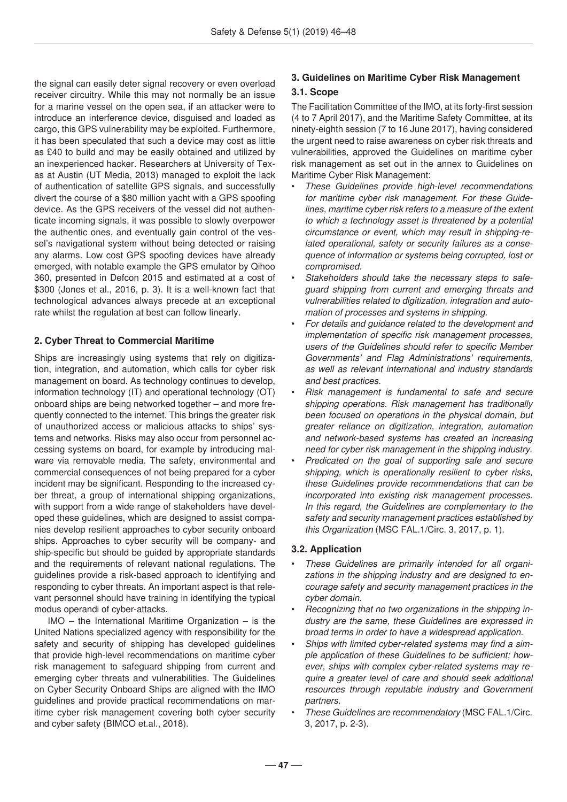the signal can easily deter signal recovery or even overload receiver circuitry. While this may not normally be an issue for a marine vessel on the open sea, if an attacker were to introduce an interference device, disguised and loaded as cargo, this GPS vulnerability may be exploited. Furthermore, it has been speculated that such a device may cost as little as £40 to build and may be easily obtained and utilized by an inexperienced hacker. Researchers at University of Texas at Austin (UT Media, 2013) managed to exploit the lack of authentication of satellite GPS signals, and successfully divert the course of a \$80 million yacht with a GPS spoofing device. As the GPS receivers of the vessel did not authenticate incoming signals, it was possible to slowly overpower the authentic ones, and eventually gain control of the vessel's navigational system without being detected or raising any alarms. Low cost GPS spoofing devices have already emerged, with notable example the GPS emulator by Qihoo 360, presented in Defcon 2015 and estimated at a cost of \$300 (Jones et al., 2016, p. 3). It is a well-known fact that technological advances always precede at an exceptional rate whilst the regulation at best can follow linearly.

# **2. Cyber Threat to Commercial Maritime**

Ships are increasingly using systems that rely on digitization, integration, and automation, which calls for cyber risk management on board. As technology continues to develop, information technology (IT) and operational technology (OT) onboard ships are being networked together – and more frequently connected to the internet. This brings the greater risk of unauthorized access or malicious attacks to ships' systems and networks. Risks may also occur from personnel accessing systems on board, for example by introducing malware via removable media. The safety, environmental and commercial consequences of not being prepared for a cyber incident may be significant. Responding to the increased cyber threat, a group of international shipping organizations, with support from a wide range of stakeholders have developed these guidelines, which are designed to assist companies develop resilient approaches to cyber security onboard ships. Approaches to cyber security will be company- and ship-specific but should be guided by appropriate standards and the requirements of relevant national regulations. The guidelines provide a risk-based approach to identifying and responding to cyber threats. An important aspect is that relevant personnel should have training in identifying the typical modus operandi of cyber-attacks.

IMO – the International Maritime Organization – is the United Nations specialized agency with responsibility for the safety and security of shipping has developed guidelines that provide high-level recommendations on maritime cyber risk management to safeguard shipping from current and emerging cyber threats and vulnerabilities. The Guidelines on Cyber Security Onboard Ships are aligned with the IMO guidelines and provide practical recommendations on maritime cyber risk management covering both cyber security and cyber safety (BIMCO et.al., 2018).

# **3. Guidelines on Maritime Cyber Risk Management**

## **3.1. Scope**

The Facilitation Committee of the IMO, at its forty-first session (4 to 7 April 2017), and the Maritime Safety Committee, at its ninety-eighth session (7 to 16 June 2017), having considered the urgent need to raise awareness on cyber risk threats and vulnerabilities, approved the Guidelines on maritime cyber risk management as set out in the annex to Guidelines on Maritime Cyber Risk Management:

- *These Guidelines provide high-level recommendations for maritime cyber risk management. For these Guidelines, maritime cyber risk refers to a measure of the extent to which a technology asset is threatened by a potential circumstance or event, which may result in shipping-related operational, safety or security failures as a consequence of information or systems being corrupted, lost or compromised.*
- *Stakeholders should take the necessary steps to safeguard shipping from current and emerging threats and vulnerabilities related to digitization, integration and automation of processes and systems in shipping.*
- *For details and guidance related to the development and implementation of specific risk management processes, users of the Guidelines should refer to specific Member Governments' and Flag Administrations' requirements, as well as relevant international and industry standards and best practices.*
- *Risk management is fundamental to safe and secure shipping operations. Risk management has traditionally been focused on operations in the physical domain, but greater reliance on digitization, integration, automation and network-based systems has created an increasing need for cyber risk management in the shipping industry.*
- *Predicated on the goal of supporting safe and secure shipping, which is operationally resilient to cyber risks, these Guidelines provide recommendations that can be incorporated into existing risk management processes. In this regard, the Guidelines are complementary to the safety and security management practices established by this Organization* (MSC FAL.1/Circ. 3, 2017, p. 1).

## **3.2. Application**

- *These Guidelines are primarily intended for all organizations in the shipping industry and are designed to encourage safety and security management practices in the cyber domain.*
- *Recognizing that no two organizations in the shipping industry are the same, these Guidelines are expressed in broad terms in order to have a widespread application.*
- *Ships with limited cyber-related systems may find a simple application of these Guidelines to be sufficient; however, ships with complex cyber-related systems may require a greater level of care and should seek additional resources through reputable industry and Government partners.*
- *These Guidelines are recommendatory* (MSC FAL.1/Circ. 3, 2017, p. 2-3).